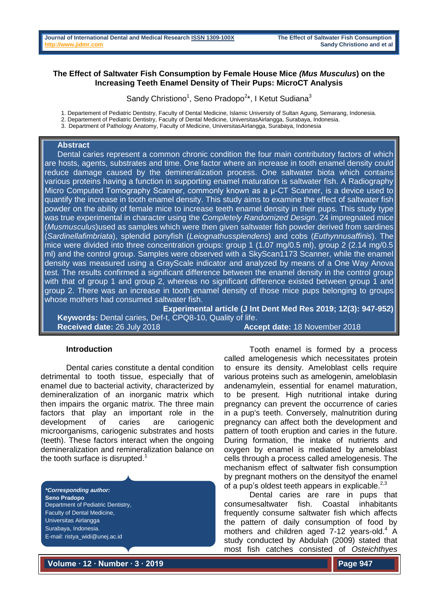# **The Effect of Saltwater Fish Consumption by Female House Mice** *(Mus Musculus***) on the Increasing Teeth Enamel Density of Their Pups: MicroCT Analysis**

Sandy Christiono<sup>1</sup>, Seno Pradopo<sup>2\*</sup>, I Ketut Sudiana<sup>3</sup>

1. Departement of Pediatric Dentistry, Faculty of Dental Medicine, Islamic University of Sultan Agung, Semarang, Indonesia.

2. Departement of Pediatric Dentistry, Faculty of Dental Medicine, UniversitasAirlangga, Surabaya, Indonesia.

3. Department of Pathology Anatomy, Faculty of Medicine, UniversitasAirlangga, Surabaya, Indonesia

### **Abstract**

Dental caries represent a common chronic condition the four main contributory factors of which are hosts, agents, substrates and time. One factor where an increase in tooth enamel density could reduce damage caused by the demineralization process. One saltwater biota which contains various proteins having a function in supporting enamel maturation is saltwater fish. A Radiography Micro Computed Tomography Scanner, commonly known as a μ-CT Scanner, is a device used to quantify the increase in tooth enamel density. This study aims to examine the effect of saltwater fish powder on the ability of female mice to increase teeth enamel density in their pups. This study type was true experimental in character using the *Completely Randomized Design*. 24 impregnated mice (*Musmusculus*)used as samples which were then given saltwater fish powder derived from sardines (*Sardinellafimbriata*), splendid ponyfish (*Leiognathussplendens*) and cobs (*Euthynnusaffinis*). The mice were divided into three concentration groups: group 1 (1.07 mg/0.5 ml), group 2 (2.14 mg/0.5 ml) and the control group. Samples were observed with a SkyScan1173 Scanner, while the enamel density was measured using a GrayScale indicator and analyzed by means of a One Way Anova test. The results confirmed a significant difference between the enamel density in the control group with that of group 1 and group 2, whereas no significant difference existed between group 1 and group 2. There was an increase in tooth enamel density of those mice pups belonging to groups whose mothers had consumed saltwater fish.

**Experimental article (J Int Dent Med Res 2019; 12(3): 947-952) Keywords:** Dental caries, Def-t, CPQ8-10, Quality of life. **Received date:** 26 July 2018 **Accept date:** 18 November 2018

## **Introduction**

Dental caries constitute a dental condition detrimental to tooth tissue, especially that of enamel due to bacterial activity, characterized by demineralization of an inorganic matrix which then impairs the organic matrix. The three main factors that play an important role in the development of caries are cariogenic microorganisms, cariogenic substrates and hosts (teeth). These factors interact when the ongoing demineralization and remineralization balance on the tooth surface is disrupted. $1$ 

*\*Corresponding author:* **Seno Pradopo** Department of Pediatric Dentistry, Faculty of Dental Medicine, Universitas Airlangga Surabaya, Indonesia. E-mail: ristya\_widi@unej.ac.id

Tooth enamel is formed by a process called amelogenesis which necessitates protein to ensure its density. Ameloblast cells require various proteins such as amelogenin, ameloblasin andenamylein, essential for enamel maturation, to be present. High nutritional intake during pregnancy can prevent the occurrence of caries in a pup's teeth. Conversely, malnutrition during pregnancy can affect both the development and pattern of tooth eruption and caries in the future. During formation, the intake of nutrients and oxygen by enamel is mediated by ameloblast cells through a process called amelogenesis. The mechanism effect of saltwater fish consumption by pregnant mothers on the densityof the enamel of a pup's oldest teeth appears in explicable.<sup>2,3</sup>

Dental caries are rare in pups that consumesaltwater fish. Coastal inhabitants frequently consume saltwater fish which affects the pattern of daily consumption of food by mothers and children aged 7-12 years-old. <sup>4</sup> A study conducted by Abdulah (2009) stated that most fish catches consisted of *Osteichthyes* 

**Volume ∙ 12 ∙ Number ∙ 3 ∙ 2019**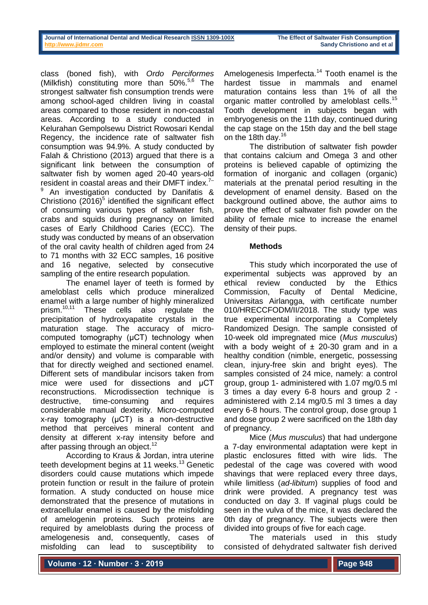| Journal of International Dental and Medical Research ISSN 1309-100X |  |  |  |
|---------------------------------------------------------------------|--|--|--|
| http://www.iidmr.com                                                |  |  |  |

class (boned fish), with *Ordo Perciformes* (Milkfish) constituting more than 50%.<sup>5,6</sup> The strongest saltwater fish consumption trends were among school-aged children living in coastal areas compared to those resident in non-coastal areas. According to a study conducted in Kelurahan Gempolsewu District Rowosari Kendal Regency, the incidence rate of saltwater fish consumption was 94.9%. A study conducted by Falah & Christiono (2013) argued that there is a significant link between the consumption of saltwater fish by women aged 20-40 years-old resident in coastal areas and their DMFT index.<sup>7-</sup>

An investigation conducted by Danifatis & Christiono  $(2016)^5$  identified the significant effect of consuming various types of saltwater fish, crabs and squids during pregnancy on limited cases of Early Childhood Caries (ECC). The study was conducted by means of an observation of the oral cavity health of children aged from 24 to 71 months with 32 ECC samples, 16 positive and 16 negative, selected by consecutive sampling of the entire research population.

The enamel layer of teeth is formed by ameloblast cells which produce mineralized enamel with a large number of highly mineralized prism.<sup>10,11</sup> These cells also regulate the precipitation of hydroxyapatite crystals in the maturation stage. The accuracy of microcomputed tomography (μCT) technology when employed to estimate the mineral content (weight and/or density) and volume is comparable with that for directly weighed and sectioned enamel. Different sets of mandibular incisors taken from mice were used for dissections and μCT reconstructions. Microdissection technique is destructive, time-consuming and requires considerable manual dexterity. Micro-computed x-ray tomography (μCT) is a non-destructive method that perceives mineral content and density at different x-ray intensity before and after passing through an object.<sup>12</sup>

According to Kraus & Jordan, intra uterine teeth development begins at 11 weeks.<sup>13</sup> Genetic disorders could cause mutations which impede protein function or result in the failure of protein formation. A study conducted on house mice demonstrated that the presence of mutations in extracellular enamel is caused by the misfolding of amelogenin proteins. Such proteins are required by ameloblasts during the process of amelogenesis and, consequently, cases of misfolding can lead to susceptibility to

Amelogenesis Imperfecta. <sup>14</sup> Tooth enamel is the hardest tissue in mammals and enamel maturation contains less than 1% of all the organic matter controlled by ameloblast cells.<sup>15</sup> Tooth development in subjects began with embryogenesis on the 11th day, continued during the cap stage on the 15th day and the bell stage on the 18th day.<sup>16</sup>

The distribution of saltwater fish powder that contains calcium and Omega 3 and other proteins is believed capable of optimizing the formation of inorganic and collagen (organic) materials at the prenatal period resulting in the development of enamel density. Based on the background outlined above, the author aims to prove the effect of saltwater fish powder on the ability of female mice to increase the enamel density of their pups.

## **Methods**

This study which incorporated the use of experimental subjects was approved by an ethical review conducted by the Ethics Commission, Faculty of Dental Medicine, Universitas Airlangga, with certificate number 010/HRECCFODM/II/2018. The study type was true experimental incorporating a Completely Randomized Design. The sample consisted of 10-week old impregnated mice (*Mus musculus*) with a body weight of  $\pm$  20-30 gram and in a healthy condition (nimble, energetic, possessing clean, injury-free skin and bright eyes). The samples consisted of 24 mice, namely: a control group, group 1- administered with 1.07 mg/0.5 ml 3 times a day every 6-8 hours and group 2 administered with 2.14 mg/0.5 ml 3 times a day every 6-8 hours. The control group, dose group 1 and dose group 2 were sacrificed on the 18th day of pregnancy.

Mice (*Mus musculus*) that had undergone a 7-day environmental adaptation were kept in plastic enclosures fitted with wire lids. The pedestal of the cage was covered with wood shavings that were replaced every three days, while limitless (*ad-libitum*) supplies of food and drink were provided. A pregnancy test was conducted on day 3. If vaginal plugs could be seen in the vulva of the mice, it was declared the 0th day of pregnancy. The subjects were then divided into groups of five for each cage.

The materials used in this study consisted of dehydrated saltwater fish derived

**Volume ∙ 12 ∙ Number ∙ 3 ∙ 2019**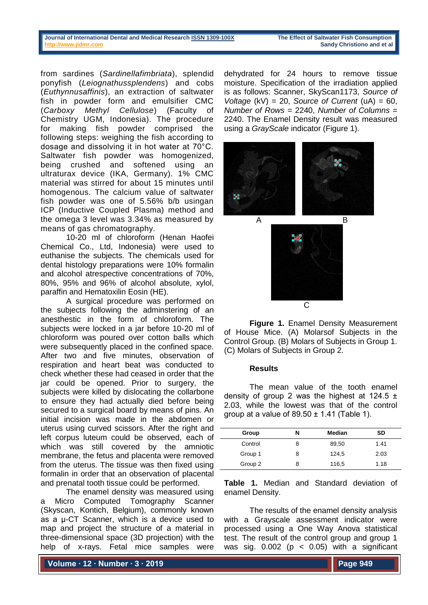#### **Journal of International Dental and Medical Research [ISSN 1309-100X](http://www.ektodermaldisplazi.com/dergi.htm) The Effect of Saltwater Fish Consumption [http://www.jidmr.com](http://www.jidmr.com/) Sandy Christiono and et al**

from sardines (*Sardinellafimbriata*), splendid ponyfish (*Leiognathussplendens*) and cobs (*Euthynnusaffinis*), an extraction of saltwater fish in powder form and emulsifier CMC (*Carboxy Methyl Cellulose*) (Faculty of Chemistry UGM, Indonesia). The procedure for making fish powder comprised the following steps: weighing the fish according to dosage and dissolving it in hot water at 70°C. Saltwater fish powder was homogenized, being crushed and softened using an ultraturax device (IKA, Germany). 1% CMC material was stirred for about 15 minutes until homogenous. The calcium value of saltwater fish powder was one of 5.56% b/b usingan ICP (Inductive Coupled Plasma) method and the omega 3 level was 3.34% as measured by means of gas chromatography.

10-20 ml of chloroform (Henan Haofei Chemical Co., Ltd, Indonesia) were used to euthanise the subjects. The chemicals used for dental histology preparations were 10% formalin and alcohol atrespective concentrations of 70%, 80%, 95% and 96% of alcohol absolute, xylol, paraffin and Hematoxilin Eosin (HE).

A surgical procedure was performed on the subjects following the adminstering of an anesthestic in the form of chloroform. The subjects were locked in a jar before 10-20 ml of chloroform was poured over cotton balls which were subsequently placed in the confined space. After two and five minutes, observation of respiration and heart beat was conducted to check whether these had ceased in order that the jar could be opened. Prior to surgery, the subjects were killed by dislocating the collarbone to ensure they had actually died before being secured to a surgical board by means of pins. An initial incision was made in the abdomen or uterus using curved scissors. After the right and left corpus luteum could be observed, each of which was still covered by the amniotic membrane, the fetus and placenta were removed from the uterus. The tissue was then fixed using formalin in order that an observation of placental and prenatal tooth tissue could be performed.

The enamel density was measured using a Micro Computed Tomography Scanner (Skyscan, Kontich, Belgium), commonly known as a μ-CT Scanner, which is a device used to map and project the structure of a material in three-dimensional space (3D projection) with the help of x-rays. Fetal mice samples were

**Volume ∙ 12 ∙ Number ∙ 3 ∙ 2019**

dehydrated for 24 hours to remove tissue moisture. Specification of the irradiation applied is as follows: Scanner, SkyScan1173, *Source of Voltage* (kV) = 20, *Source of Current* (uA) = 60, *Number of Rows* = 2240, *Number of Columns* = 2240. The Enamel Density result was measured using a *GrayScale* indicator (Figure 1).



**Figure 1.** Enamel Density Measurement of House Mice. (A) Molarsof Subjects in the Control Group. (B) Molars of Subjects in Group 1. (C) Molars of Subjects in Group 2.

## **Results**

The mean value of the tooth enamel density of group 2 was the highest at  $124.5 \pm$ 2.03, while the lowest was that of the control group at a value of  $89.50 \pm 1.41$  (Table 1).

| Group   | N | Median | SD   |
|---------|---|--------|------|
| Control | 8 | 89,50  | 1.41 |
| Group 1 | 8 | 124,5  | 2.03 |
| Group 2 | 8 | 116,5  | 1.18 |
|         |   |        |      |

**Table 1.** Median and Standard deviation of enamel Density.

The results of the enamel density analysis with a Grayscale assessment indicator were processed using a One Way Anova statistical test. The result of the control group and group 1 was sig.  $0.002$  ( $p < 0.05$ ) with a significant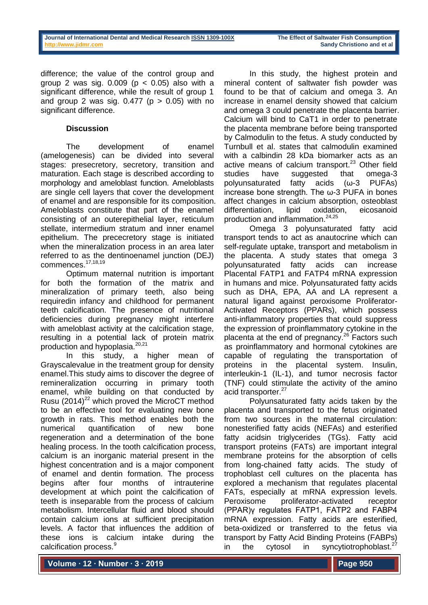difference; the value of the control group and group 2 was sig.  $0.009$  ( $p < 0.05$ ) also with a significant difference, while the result of group 1 and group 2 was sig.  $0.477$  ( $p > 0.05$ ) with no significant difference.

# **Discussion**

The development of enamel (amelogenesis) can be divided into several stages: presecretory, secretory, transition and maturation. Each stage is described according to morphology and ameloblast function. Ameloblasts are single cell layers that cover the development of enamel and are responsible for its composition. Ameloblasts constitute that part of the enamel consisting of an outerepithelial layer, reticulum stellate, intermedium stratum and inner enamel epithelium. The prececretory stage is initiated when the mineralization process in an area later referred to as the dentinoenamel junction (DEJ) commences. 17,18,19

Optimum maternal nutrition is important for both the formation of the matrix and mineralization of primary teeth, also being requiredin infancy and childhood for permanent teeth calcification. The presence of nutritional deficiencies during pregnancy might interfere with ameloblast activity at the calcification stage, resulting in a potential lack of protein matrix production and hypoplasia.<sup>20,21</sup>

In this study, a higher mean of Grayscalevalue in the treatment group for density enamel.This study aims to discover the degree of remineralization occurring in primary tooth enamel, while building on that conducted by Rusu  $(2014)^{22}$  which proved the MicroCT method to be an effective tool for evaluating new bone growth in rats. This method enables both the numerical quantification of new bone regeneration and a determination of the bone healing process. In the tooth calcification process, calcium is an inorganic material present in the highest concentration and is a major component of enamel and dentin formation. The process begins after four months of intrauterine development at which point the calcification of teeth is inseparable from the process of calcium metabolism. Intercellular fluid and blood should contain calcium ions at sufficient precipitation levels. A factor that influences the addition of these ions is calcium intake during the calcification process.<sup>9</sup>

In this study, the highest protein and mineral content of saltwater fish powder was found to be that of calcium and omega 3. An increase in enamel density showed that calcium and omega 3 could penetrate the placenta barrier. Calcium will bind to CaT1 in order to penetrate the placenta membrane before being transported by Calmodulin to the fetus. A study conducted by Turnbull et al. states that calmodulin examined with a calbindin 28 kDa biomarker acts as an active means of calcium transport. <sup>23</sup> Other field studies have suggested that omega-3 polyunsaturated fatty acids (ω-3 PUFAs) increase bone strength. The ω-3 PUFA in bones affect changes in calcium absorption, osteoblast differentiation, lipid oxidation, eicosanoid production and inflammation. 24,25

Omega 3 polyunsaturated fatty acid transport tends to act as anautocrine which can self-regulate uptake, transport and metabolism in the placenta. A study states that omega 3 polyunsaturated fatty acids can increase Placental FATP1 and FATP4 mRNA expression in humans and mice. Polyunsaturated fatty acids such as DHA, EPA, AA and LA represent a natural ligand against peroxisome Proliferator-Activated Receptors (PPARs), which possess anti-inflammatory properties that could suppress the expression of proinflammatory cytokine in the placenta at the end of pregnancy.<sup>26</sup> Factors such as proinflammatory and hormonal cytokines are capable of regulating the transportation of proteins in the placental system. Insulin, interleukin-1 (IL-1), and tumor necrosis factor (TNF) could stimulate the activity of the amino acid transporter. 27

Polyunsaturated fatty acids taken by the placenta and transported to the fetus originated from two sources in the maternal circulation: nonesterified fatty acids (NEFAs) and esterified fatty acidsin triglycerides (TGs). Fatty acid transport proteins (FATs) are important integral membrane proteins for the absorption of cells from long-chained fatty acids. The study of trophoblast cell cultures on the placenta has explored a mechanism that regulates placental FATs, especially at mRNA expression levels. Peroxisome proliferator-activated receptor (PPAR)γ regulates FATP1, FATP2 and FABP4 mRNA expression. Fatty acids are esterified, beta-oxidized or transferred to the fetus via transport by Fatty Acid Binding Proteins (FABPs) in the cytosol in syncytiotrophoblast.<sup>27</sup>

**Volume ∙ 12 ∙ Number ∙ 3 ∙ 2019**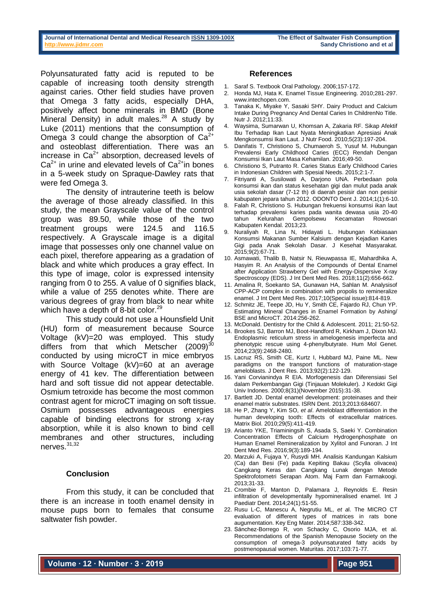#### **Journal of International Dental and Medical Research [ISSN 1309-100X](http://www.ektodermaldisplazi.com/dergi.htm) The Effect of Saltwater Fish Consumption [http://www.jidmr.com](http://www.jidmr.com/) <b>Sandy Christiono and et al**

Polyunsaturated fatty acid is reputed to be capable of increasing tooth density strength against caries. Other field studies have proven that Omega 3 fatty acids, especially DHA, positively affect bone minerals in BMD (Bone Mineral Density) in adult males.<sup>28</sup> A study by Luke (2011) mentions that the consumption of Omega 3 could change the absorption of  $Ca<sup>2+</sup>$ and osteoblast differentiation. There was an increase in  $Ca<sup>2+</sup>$  absorption, decreased levels of  $Ca<sup>2+</sup>$  in urine and elevated levels of  $Ca<sup>2+</sup>$  in bones in a 5-week study on Spraque-Dawley rats that were fed Omega 3.

The density of intrauterine teeth is below the average of those already classified. In this study, the mean Grayscale value of the control group was 89.50, while those of the two treatment groups were 124.5 and 116.5 respectively. A Grayscale image is a digital image that possesses only one channel value on each pixel, therefore appearing as a gradation of black and white which produces a gray effect. In this type of image, color is expressed intensity ranging from 0 to 255. A value of 0 signifies black, while a value of 255 denotes white. There are various degrees of gray from black to near white which have a depth of 8-bit color.<sup>29</sup>

This study could not use a Hounsfield Unit (HU) form of measurement because Source Voltage (kV)=20 was employed. This study differs from that which Metscher  $(2009)^3$ conducted by using microCT in mice embryos with Source Voltage (kV)=60 at an average energy of 41 kev. The differentiation between hard and soft tissue did not appear detectable. Osmium tetroxide has become the most common contrast agent for microCT imaging on soft tissue. Osmium possesses advantageous energies capable of binding electrons for strong x-ray absorption, while it is also known to bind cell membranes and other structures, including nerves. 31,32

## **Conclusion**

From this study, it can be concluded that there is an increase in tooth enamel density in mouse pups born to females that consume saltwater fish powder.

### **References**

- 1. Saraf S. Textbook Oral Pathology. 2006;157-172.
- 2. Honda MJ, Hata K. Enamel Tissue Engineering. 2010;281-297. www.intechopen.com.
- 3. Tanaka K, Miyake Y, Sasaki SHY. Dairy Product and Calcium Intake During Pregnancy And Dental Caries In ChildrenNo Title. Nutr J. 2012;11:33.
- 4. Waysima, Sumarwan U, Khomsan A, Zakaria RF. Sikap Afektif Ibu Terhadap Ikan Laut Nyata Meningkatkan Apresiasi Anak Mengkonsumsi Ikan Laut. J Nutr Food. 2010;5(23):197-204.
- 5. Danifatis T, Christiono S, Chumaeroh S, Yusuf M. Hubungan Prevalensi Early Childhood Caries (ECC) Rendah Dengan Konsumsi Ikan Laut Masa Kehamilan. 2016;49-50.
- 6. Christiono S, Putranto R. Caries Status Early Childhood Caries in Indonesian Children with Spesial Needs. 2015;2:1-7.
- 7. Fitriyanti A, Susilowati A, Darjono UNA. Perbedaan pola konsumsi ikan dan status kesehatan gigi dan mulut pada anak usia sekolah dasar (7-12 th) di daerah pesisir dan non pesisir kabupaten jepara tahun 2012. ODONTO Dent J. 2014;1(1):6-10.
- 8. Falah R, Christiono S. Hubungan frekuensi konsumsi ikan laut terhadap prevalensi karies pada wanita dewasa usia 20-40 tahun Kelurahan Gempolsewu Kecamatan Rowosari Kabupaten Kendal. 2013;23.
- 9. Nuraliyah R, Lina N, Hidayati L. Hubungan Kebiasaan Konsumsi Makanan Sumber Kalsium dengan Kejadian Karies Gigi pada Anak Sekolah Dasar. J Kesehat Masyarakat. 2015;9(2):67-71.
- 10. Asmawati, Thalib B, Natsir N, Rieuwpassa IE, Mahardhika A, Hasyim R. An Analysis of the Compounds of Dental Enamel after Application Strawberry Gel with Energy-Dispersive X-ray Spectroscopy (EDS). J Int Dent Med Res. 2018;11(2):656-662.
- 11. Amalina R, Soekanto SA, Gunawan HA, Sahlan M. Analysisof CPP-ACP complex in combination with propolis to remineralize enamel. J Int Dent Med Res. 2017;10(Special issue):814-819.
- 12. Schmitz JE, Teepe JD, Hu Y, Smith CE, Fajardo RJ, Chun YP. Estimating Mineral Changes in Enamel Formation by Ashing/ BSE and MicroCT. 2014:256-262.
- 13. McDonald. Dentistry for the Child & Adolescent. 2011; 21:50-52.
- 14. Brookes SJ, Barron MJ, Boot-Handford R, Kirkham J, Dixon MJ. Endoplasmic reticulum stress in amelogenesis imperfecta and phenotypic rescue using 4-phenylbutyrate. Hum Mol Genet. 2014;23(9):2468-2480.
- 15. Lacruz RS, Smith CE, Kurtz I, Hubbard MJ, Paine ML. New paradigms on the transport functions of maturation-stage ameloblasts. J Dent Res. 2013;92(2):122-129.
- 16. Yani Corvianindya R EIA. Morfogenesis dan Diferensiasi Sel dalam Perkembangan Gigi (Tinjauan Molekuler). J Kedokt Gigi Univ Indones. 2000;8(31)(November 2015):31-38.
- 17. Bartlett JD. Dental enamel development: proteinases and their enamel matrix substrates. ISRN Dent. 2013;2013:684607.
- 18. He P, Zhang Y, Kim SO, *et al*. Ameloblast differentiation in the human developing tooth: Effects of extracellular matrices. Matrix Biol. 2010;29(5):411-419.
- 19. Arianto YKE, Triaminingsih S, Asada S, Saeki Y. Combination Concentration Effects of Calcium Hydrogenphosphate on Human Enamel Remineralization by Xylitol and Funoran. J Int Dent Med Res. 2016;9(3):189-194.
- 20. Marzuki A, Fujaya Y, Rusydi MH. Analisis Kandungan Kalsium (Ca) dan Besi (Fe) pada Kepiting Bakau (Scylla olivacea) Cangkang Keras dan Cangkang Lunak dengan Metode Spektrofotometri Serapan Atom. Maj Farm dan Farmakoogi. 2013;31-33.
- 21. Crombie F, Manton D, Palamara J, Reynolds E. Resin infiltration of developmentally hypomineralised enamel. Int J Paediatr Dent. 2014;24(1):51-55.
- 22. Rusu L-C, Manescu A, Negrutiu ML, *et a*l. The MICRO CT evaluation of different types of matrices in rats bone augumentation. Key Eng Mater. 2014;587:338-342.
- 23. Sánchez-Borrego R, von Schacky C, Osorio MJA, et al. Recommendations of the Spanish Menopause Society on the consumption of omega-3 polyunsaturated fatty acids by postmenopausal women. Maturitas. 2017;103:71-77.

**Volume ∙ 12 ∙ Number ∙ 3 ∙ 2019**

**Page 951**